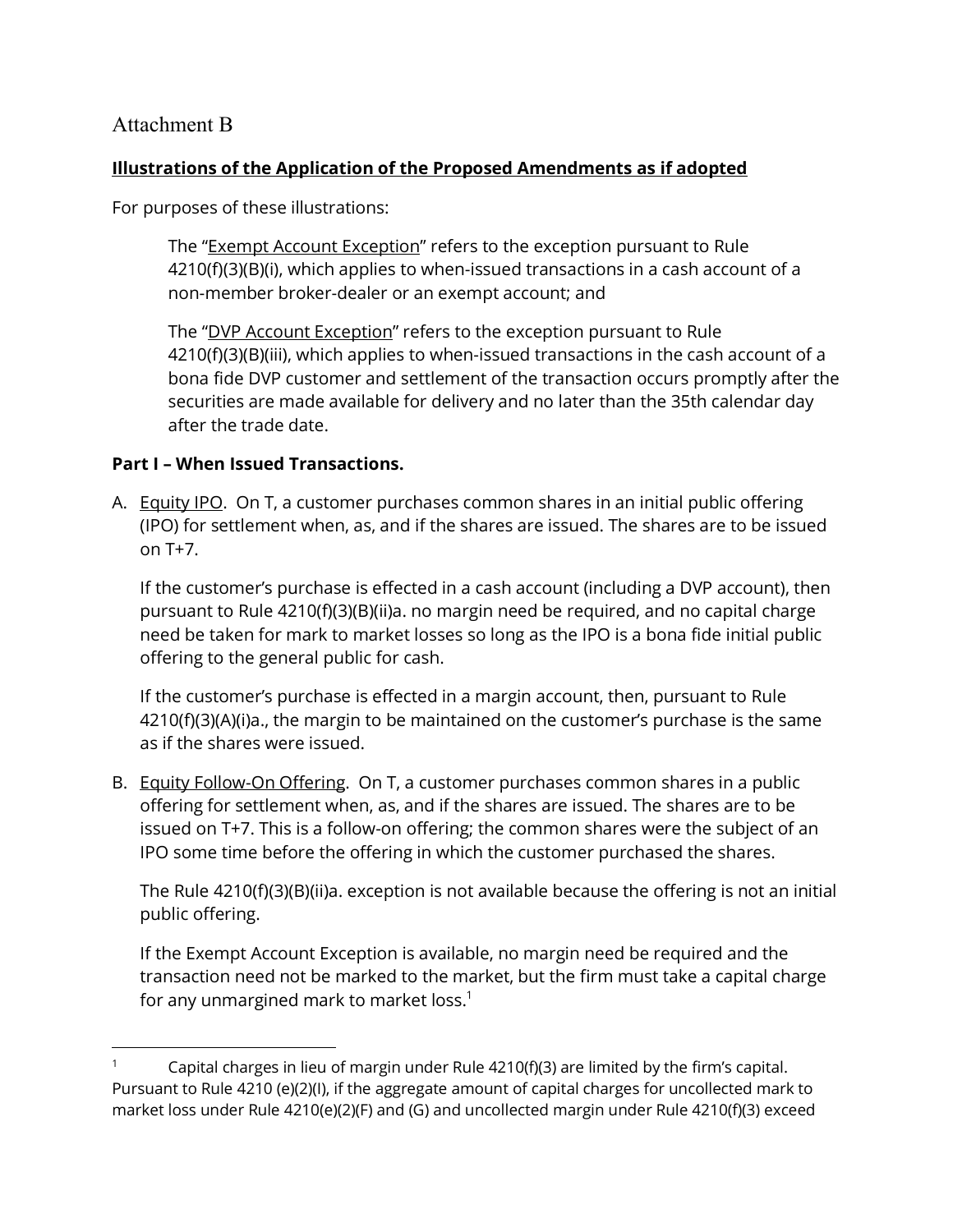## Attachment B

## **Illustrations of the Application of the Proposed Amendments as if adopted**

For purposes of these illustrations:

The "Exempt Account Exception" refers to the exception pursuant to Rule 4210(f)(3)(B)(i), which applies to when-issued transactions in a cash account of a non-member broker-dealer or an exempt account; and

The "DVP Account Exception" refers to the exception pursuant to Rule 4210(f)(3)(B)(iii), which applies to when-issued transactions in the cash account of a bona fide DVP customer and settlement of the transaction occurs promptly after the securities are made available for delivery and no later than the 35th calendar day after the trade date.

## **Part I – When Issued Transactions.**

A. Equity IPO. On T, a customer purchases common shares in an initial public offering (IPO) for settlement when, as, and if the shares are issued. The shares are to be issued on T+7.

If the customer's purchase is effected in a cash account (including a DVP account), then pursuant to Rule 4210(f)(3)(B)(ii)a. no margin need be required, and no capital charge need be taken for mark to market losses so long as the IPO is a bona fide initial public offering to the general public for cash.

If the customer's purchase is effected in a margin account, then, pursuant to Rule 4210(f)(3)(A)(i)a., the margin to be maintained on the customer's purchase is the same as if the shares were issued.

B. Equity Follow-On Offering. On T, a customer purchases common shares in a public offering for settlement when, as, and if the shares are issued. The shares are to be issued on T+7. This is a follow-on offering; the common shares were the subject of an IPO some time before the offering in which the customer purchased the shares.

The Rule 4210(f)(3)(B)(ii)a. exception is not available because the offering is not an initial public offering.

<span id="page-0-0"></span>If the Exempt Account Exception is available, no margin need be required and the transaction need not be marked to the market, but the firm must take a capital charge for any unmargined mark to market loss. $1$ 

Capital charges in lieu of margin under Rule 4210(f)(3) are limited by the firm's capital. Pursuant to Rule 4210 (e)(2)(I), if the aggregate amount of capital charges for uncollected mark to market loss under Rule 4210(e)(2)(F) and (G) and uncollected margin under Rule 4210(f)(3) exceed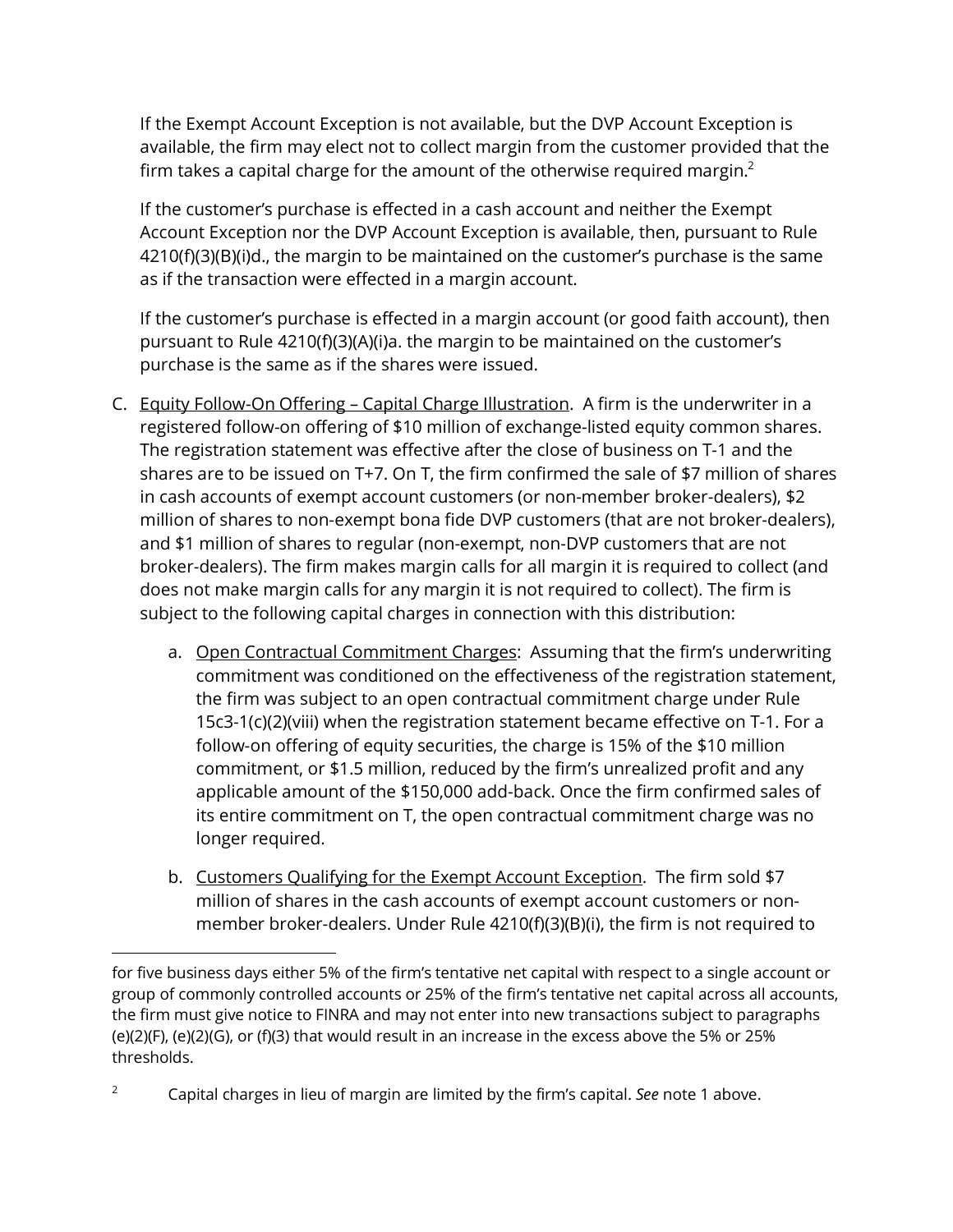If the Exempt Account Exception is not available, but the DVP Account Exception is available, the firm may elect not to collect margin from the customer provided that the firm takes a capital charge for the amount of the otherwise required margin.<sup>2</sup>

If the customer's purchase is effected in a cash account and neither the Exempt Account Exception nor the DVP Account Exception is available, then, pursuant to Rule 4210(f)(3)(B)(i)d., the margin to be maintained on the customer's purchase is the same as if the transaction were effected in a margin account.

If the customer's purchase is effected in a margin account (or good faith account), then pursuant to Rule 4210(f)(3)(A)(i)a. the margin to be maintained on the customer's purchase is the same as if the shares were issued.

- C. Equity Follow-On Offering Capital Charge Illustration. A firm is the underwriter in a registered follow-on offering of \$10 million of exchange-listed equity common shares. The registration statement was effective after the close of business on T-1 and the shares are to be issued on T+7. On T, the firm confirmed the sale of \$7 million of shares in cash accounts of exempt account customers (or non-member broker-dealers), \$2 million of shares to non-exempt bona fide DVP customers (that are not broker-dealers), and \$1 million of shares to regular (non-exempt, non-DVP customers that are not broker-dealers). The firm makes margin calls for all margin it is required to collect (and does not make margin calls for any margin it is not required to collect). The firm is subject to the following capital charges in connection with this distribution:
	- a. Open Contractual Commitment Charges: Assuming that the firm's underwriting commitment was conditioned on the effectiveness of the registration statement, the firm was subject to an open contractual commitment charge under Rule 15c3-1(c)(2)(viii) when the registration statement became effective on T-1. For a follow-on offering of equity securities, the charge is 15% of the \$10 million commitment, or \$1.5 million, reduced by the firm's unrealized profit and any applicable amount of the \$150,000 add-back. Once the firm confirmed sales of its entire commitment on T, the open contractual commitment charge was no longer required.
	- b. Customers Qualifying for the Exempt Account Exception. The firm sold \$7 million of shares in the cash accounts of exempt account customers or nonmember broker-dealers. Under Rule 4210(f)(3)(B)(i), the firm is not required to

for five business days either 5% of the firm's tentative net capital with respect to a single account or group of commonly controlled accounts or 25% of the firm's tentative net capital across all accounts, the firm must give notice to FINRA and may not enter into new transactions subject to paragraphs (e)(2)(F), (e)(2)(G), or (f)(3) that would result in an increase in the excess above the 5% or 25% thresholds.

<sup>2</sup> Capital charges in lieu of margin are limited by the firm's capital. *See* note [1](#page-0-0) above.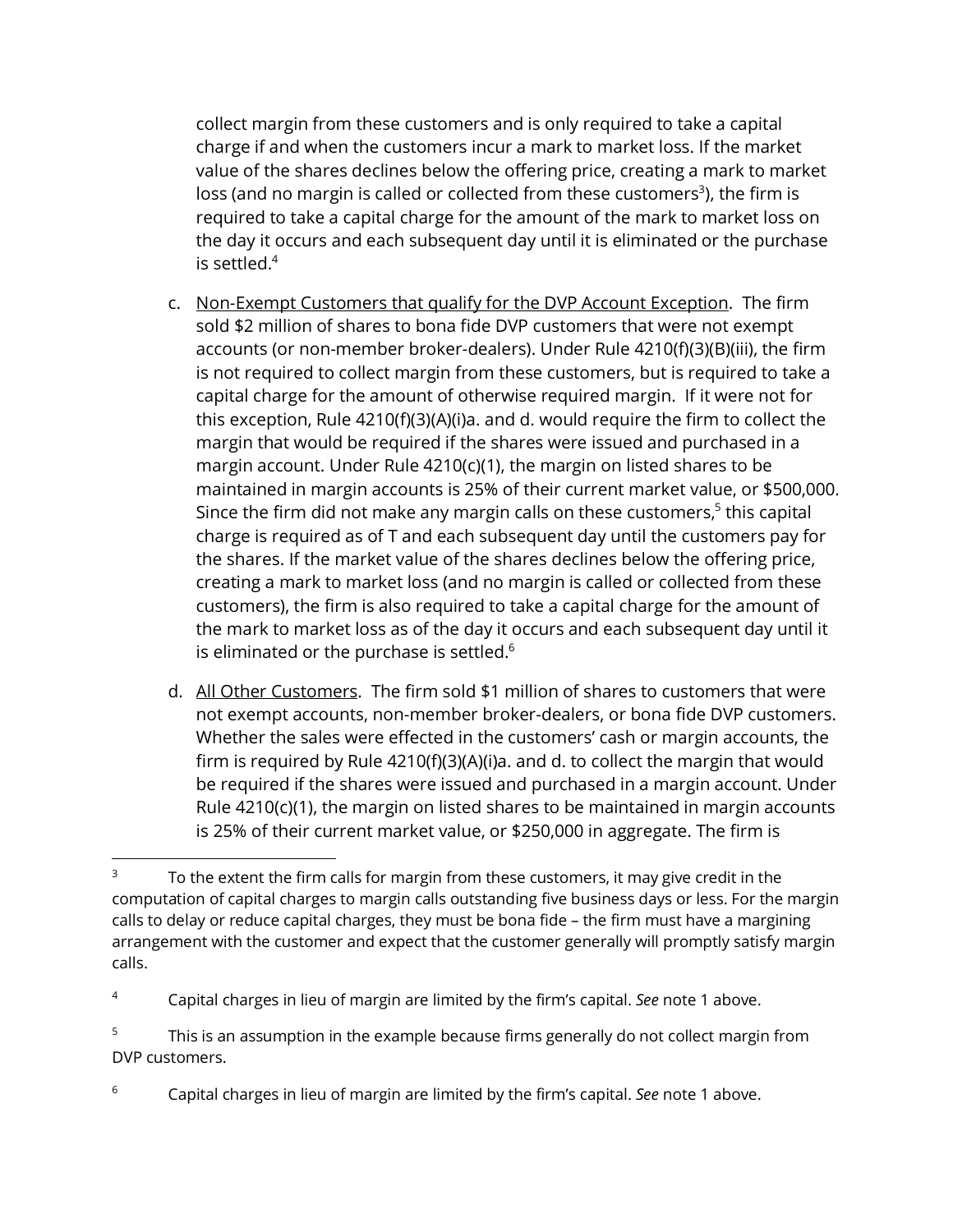collect margin from these customers and is only required to take a capital charge if and when the customers incur a mark to market loss. If the market value of the shares declines below the offering price, creating a mark to market loss (and no margin is called or collected from these customers<sup>3</sup>), the firm is required to take a capital charge for the amount of the mark to market loss on the day it occurs and each subsequent day until it is eliminated or the purchase is settled.4

- c. Non-Exempt Customers that qualify for the DVP Account Exception. The firm sold \$2 million of shares to bona fide DVP customers that were not exempt accounts (or non-member broker-dealers). Under Rule 4210(f)(3)(B)(iii), the firm is not required to collect margin from these customers, but is required to take a capital charge for the amount of otherwise required margin. If it were not for this exception, Rule 4210(f)(3)(A)(i)a. and d. would require the firm to collect the margin that would be required if the shares were issued and purchased in a margin account. Under Rule 4210(c)(1), the margin on listed shares to be maintained in margin accounts is 25% of their current market value, or \$500,000. Since the firm did not make any margin calls on these customers,<sup>5</sup> this capital charge is required as of T and each subsequent day until the customers pay for the shares. If the market value of the shares declines below the offering price, creating a mark to market loss (and no margin is called or collected from these customers), the firm is also required to take a capital charge for the amount of the mark to market loss as of the day it occurs and each subsequent day until it is eliminated or the purchase is settled. $6$
- d. All Other Customers. The firm sold \$1 million of shares to customers that were not exempt accounts, non-member broker-dealers, or bona fide DVP customers. Whether the sales were effected in the customers' cash or margin accounts, the firm is required by Rule 4210(f)(3)(A)(i)a. and d. to collect the margin that would be required if the shares were issued and purchased in a margin account. Under Rule 4210(c)(1), the margin on listed shares to be maintained in margin accounts is 25% of their current market value, or \$250,000 in aggregate. The firm is

 $3$  To the extent the firm calls for margin from these customers, it may give credit in the computation of capital charges to margin calls outstanding five business days or less. For the margin calls to delay or reduce capital charges, they must be bona fide – the firm must have a margining arrangement with the customer and expect that the customer generally will promptly satisfy margin calls.

<sup>4</sup> Capital charges in lieu of margin are limited by the firm's capital. *See* note [1](#page-0-0) above.

<sup>&</sup>lt;sup>5</sup> This is an assumption in the example because firms generally do not collect margin from DVP customers.

<sup>6</sup> Capital charges in lieu of margin are limited by the firm's capital. *See* note [1](#page-0-0) above.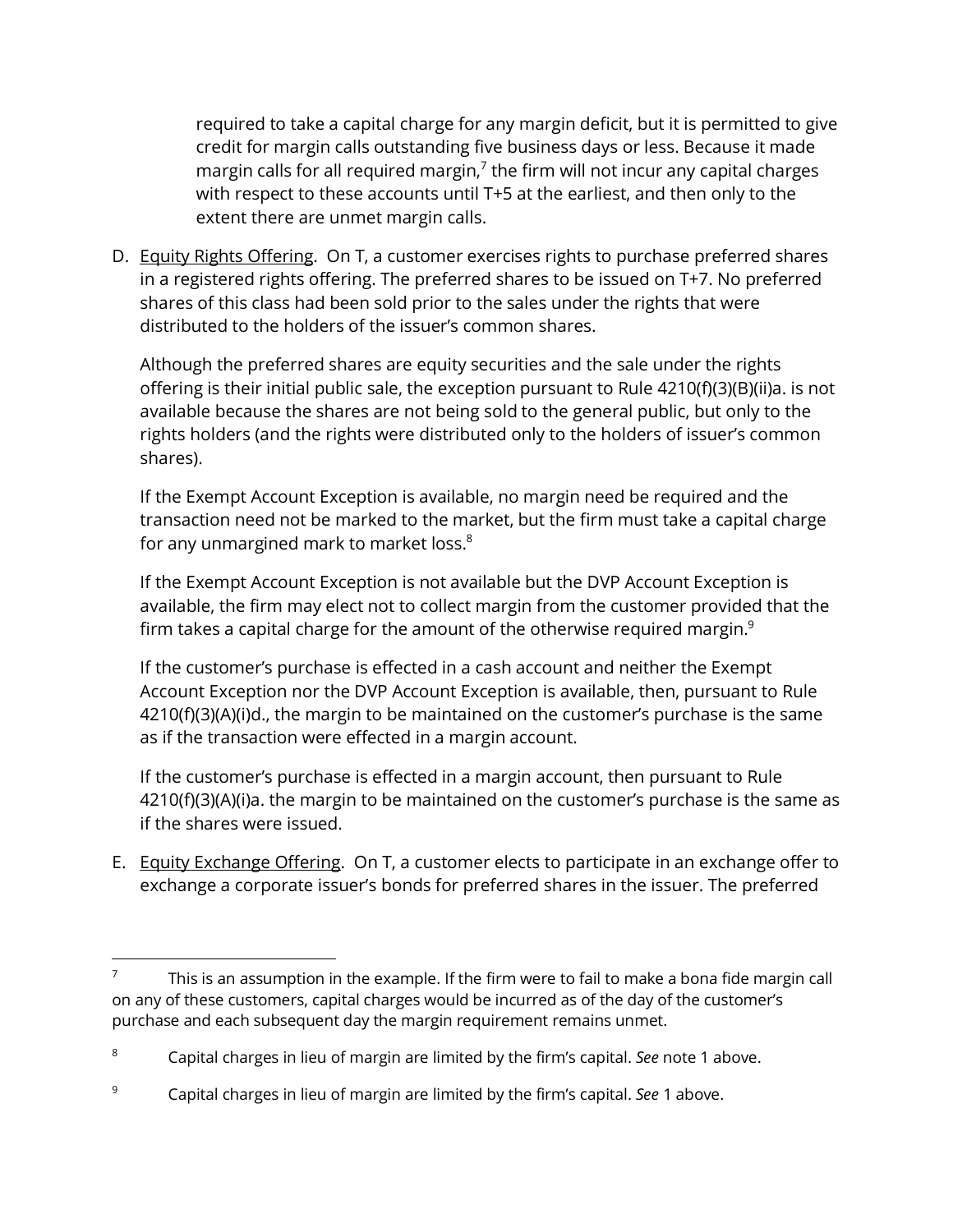required to take a capital charge for any margin deficit, but it is permitted to give credit for margin calls outstanding five business days or less. Because it made margin calls for all required margin, $<sup>7</sup>$  the firm will not incur any capital charges</sup> with respect to these accounts until T+5 at the earliest, and then only to the extent there are unmet margin calls.

D. Equity Rights Offering. On T, a customer exercises rights to purchase preferred shares in a registered rights offering. The preferred shares to be issued on T+7. No preferred shares of this class had been sold prior to the sales under the rights that were distributed to the holders of the issuer's common shares.

Although the preferred shares are equity securities and the sale under the rights offering is their initial public sale, the exception pursuant to Rule 4210(f)(3)(B)(ii)a. is not available because the shares are not being sold to the general public, but only to the rights holders (and the rights were distributed only to the holders of issuer's common shares).

If the Exempt Account Exception is available, no margin need be required and the transaction need not be marked to the market, but the firm must take a capital charge for any unmargined mark to market loss.<sup>8</sup>

If the Exempt Account Exception is not available but the DVP Account Exception is available, the firm may elect not to collect margin from the customer provided that the firm takes a capital charge for the amount of the otherwise required margin. $9$ 

If the customer's purchase is effected in a cash account and neither the Exempt Account Exception nor the DVP Account Exception is available, then, pursuant to Rule 4210(f)(3)(A)(i)d., the margin to be maintained on the customer's purchase is the same as if the transaction were effected in a margin account.

If the customer's purchase is effected in a margin account, then pursuant to Rule 4210(f)(3)(A)(i)a. the margin to be maintained on the customer's purchase is the same as if the shares were issued.

E. Equity Exchange Offering. On T, a customer elects to participate in an exchange offer to exchange a corporate issuer's bonds for preferred shares in the issuer. The preferred

<sup>7</sup> This is an assumption in the example. If the firm were to fail to make a bona fide margin call on any of these customers, capital charges would be incurred as of the day of the customer's purchase and each subsequent day the margin requirement remains unmet.

<sup>8</sup> Capital charges in lieu of margin are limited by the firm's capital. *See* note [1](#page-0-0) above.

<sup>9</sup> Capital charges in lieu of margin are limited by the firm's capital. *See* [1](#page-0-0) above.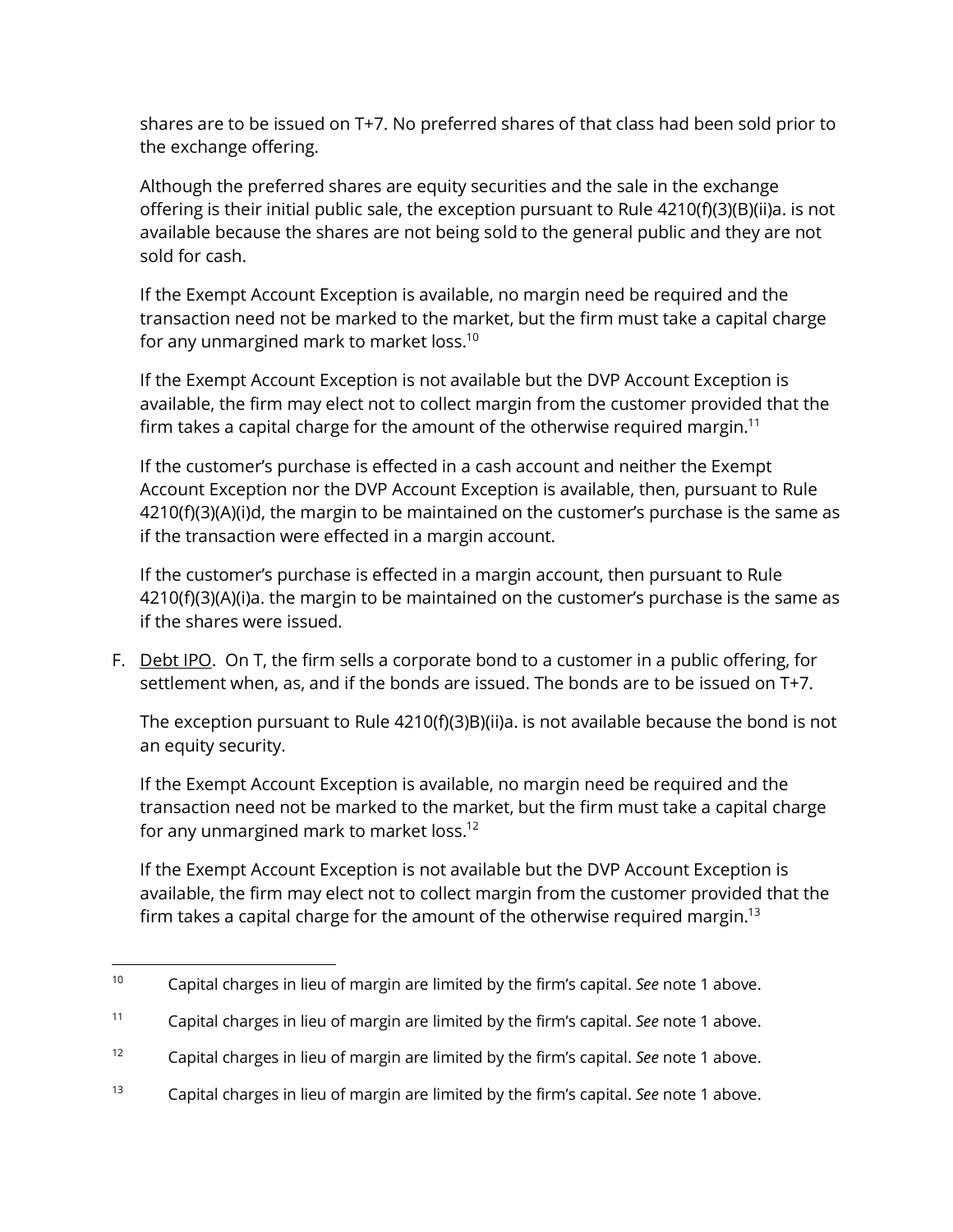shares are to be issued on T+7. No preferred shares of that class had been sold prior to the exchange offering.

Although the preferred shares are equity securities and the sale in the exchange offering is their initial public sale, the exception pursuant to Rule 4210(f)(3)(B)(ii)a. is not available because the shares are not being sold to the general public and they are not sold for cash.

If the Exempt Account Exception is available, no margin need be required and the transaction need not be marked to the market, but the firm must take a capital charge for any unmargined mark to market loss.<sup>10</sup>

If the Exempt Account Exception is not available but the DVP Account Exception is available, the firm may elect not to collect margin from the customer provided that the firm takes a capital charge for the amount of the otherwise required margin.<sup>11</sup>

If the customer's purchase is effected in a cash account and neither the Exempt Account Exception nor the DVP Account Exception is available, then, pursuant to Rule 4210(f)(3)(A)(i)d, the margin to be maintained on the customer's purchase is the same as if the transaction were effected in a margin account.

If the customer's purchase is effected in a margin account, then pursuant to Rule 4210(f)(3)(A)(i)a. the margin to be maintained on the customer's purchase is the same as if the shares were issued.

F. Debt IPO. On T, the firm sells a corporate bond to a customer in a public offering, for settlement when, as, and if the bonds are issued. The bonds are to be issued on T+7.

The exception pursuant to Rule 4210(f)(3)B)(ii)a. is not available because the bond is not an equity security.

If the Exempt Account Exception is available, no margin need be required and the transaction need not be marked to the market, but the firm must take a capital charge for any unmargined mark to market loss.<sup>12</sup>

If the Exempt Account Exception is not available but the DVP Account Exception is available, the firm may elect not to collect margin from the customer provided that the firm takes a capital charge for the amount of the otherwise required margin.<sup>13</sup>

<sup>10</sup> Capital charges in lieu of margin are limited by the firm's capital. *See* note [1](#page-0-0) above.

<sup>11</sup> Capital charges in lieu of margin are limited by the firm's capital. *See* note [1](#page-0-0) above.

<sup>12</sup> Capital charges in lieu of margin are limited by the firm's capital. *See* note [1](#page-0-0) above.

<sup>13</sup> Capital charges in lieu of margin are limited by the firm's capital. *See* note [1](#page-0-0) above.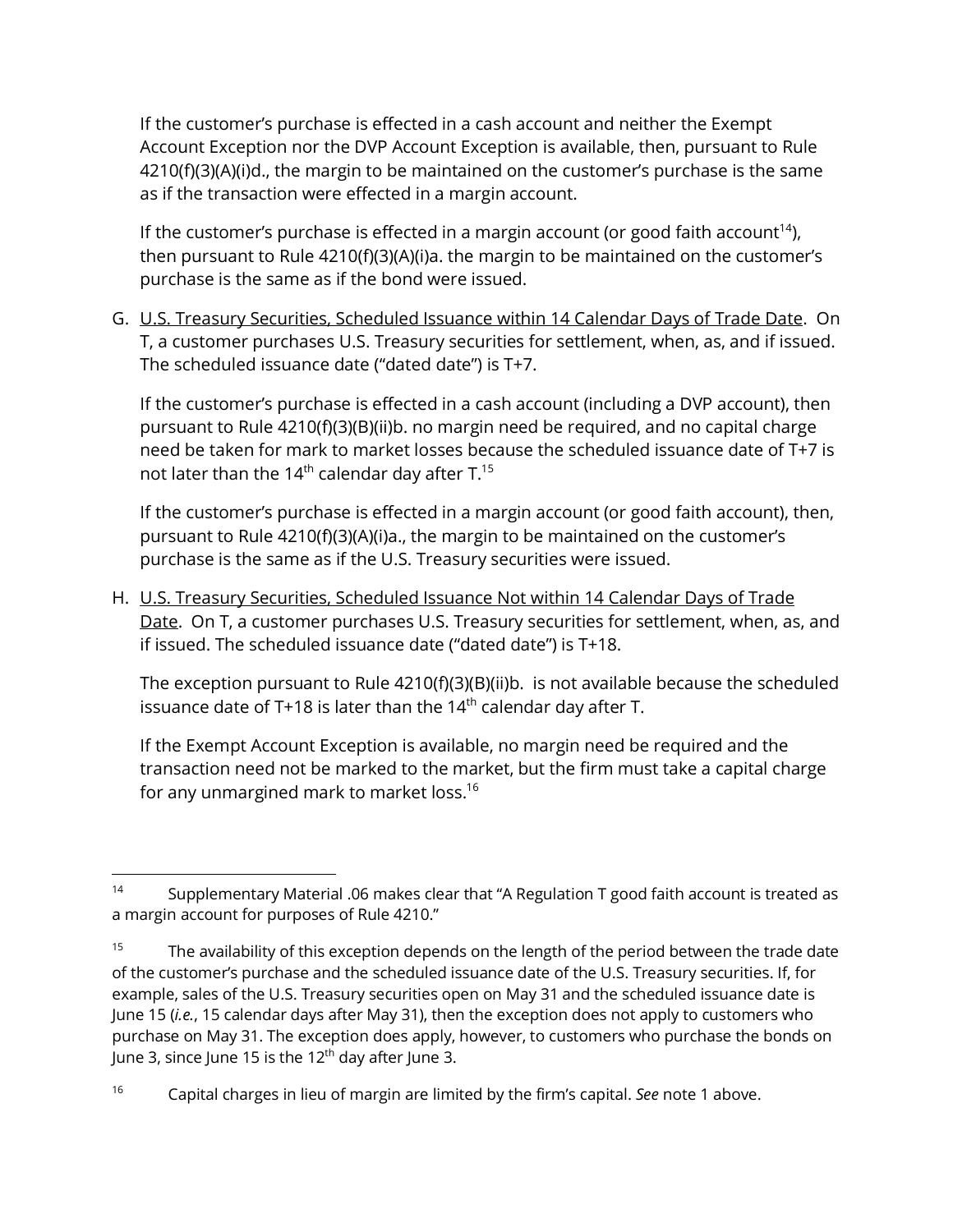If the customer's purchase is effected in a cash account and neither the Exempt Account Exception nor the DVP Account Exception is available, then, pursuant to Rule 4210(f)(3)(A)(i)d., the margin to be maintained on the customer's purchase is the same as if the transaction were effected in a margin account.

If the customer's purchase is effected in a margin account (or good faith account<sup>14</sup>), then pursuant to Rule 4210(f)(3)(A)(i)a. the margin to be maintained on the customer's purchase is the same as if the bond were issued.

G. U.S. Treasury Securities, Scheduled Issuance within 14 Calendar Days of Trade Date. On T, a customer purchases U.S. Treasury securities for settlement, when, as, and if issued. The scheduled issuance date ("dated date") is T+7.

If the customer's purchase is effected in a cash account (including a DVP account), then pursuant to Rule 4210(f)(3)(B)(ii)b. no margin need be required, and no capital charge need be taken for mark to market losses because the scheduled issuance date of T+7 is not later than the 14<sup>th</sup> calendar day after  $T.^{15}$ 

If the customer's purchase is effected in a margin account (or good faith account), then, pursuant to Rule 4210(f)(3)(A)(i)a., the margin to be maintained on the customer's purchase is the same as if the U.S. Treasury securities were issued.

H. U.S. Treasury Securities, Scheduled Issuance Not within 14 Calendar Days of Trade Date. On T, a customer purchases U.S. Treasury securities for settlement, when, as, and if issued. The scheduled issuance date ("dated date") is T+18.

The exception pursuant to Rule 4210(f)(3)(B)(ii)b. is not available because the scheduled issuance date of T+18 is later than the  $14<sup>th</sup>$  calendar day after T.

If the Exempt Account Exception is available, no margin need be required and the transaction need not be marked to the market, but the firm must take a capital charge for any unmargined mark to market loss.<sup>16</sup>

<sup>&</sup>lt;sup>14</sup> Supplementary Material .06 makes clear that "A Regulation T good faith account is treated as a margin account for purposes of Rule 4210."

 $15$  The availability of this exception depends on the length of the period between the trade date of the customer's purchase and the scheduled issuance date of the U.S. Treasury securities. If, for example, sales of the U.S. Treasury securities open on May 31 and the scheduled issuance date is June 15 (*i.e.*, 15 calendar days after May 31), then the exception does not apply to customers who purchase on May 31. The exception does apply, however, to customers who purchase the bonds on June 3, since June 15 is the 12<sup>th</sup> day after June 3.

<sup>16</sup> Capital charges in lieu of margin are limited by the firm's capital. *See* note [1](#page-0-0) above.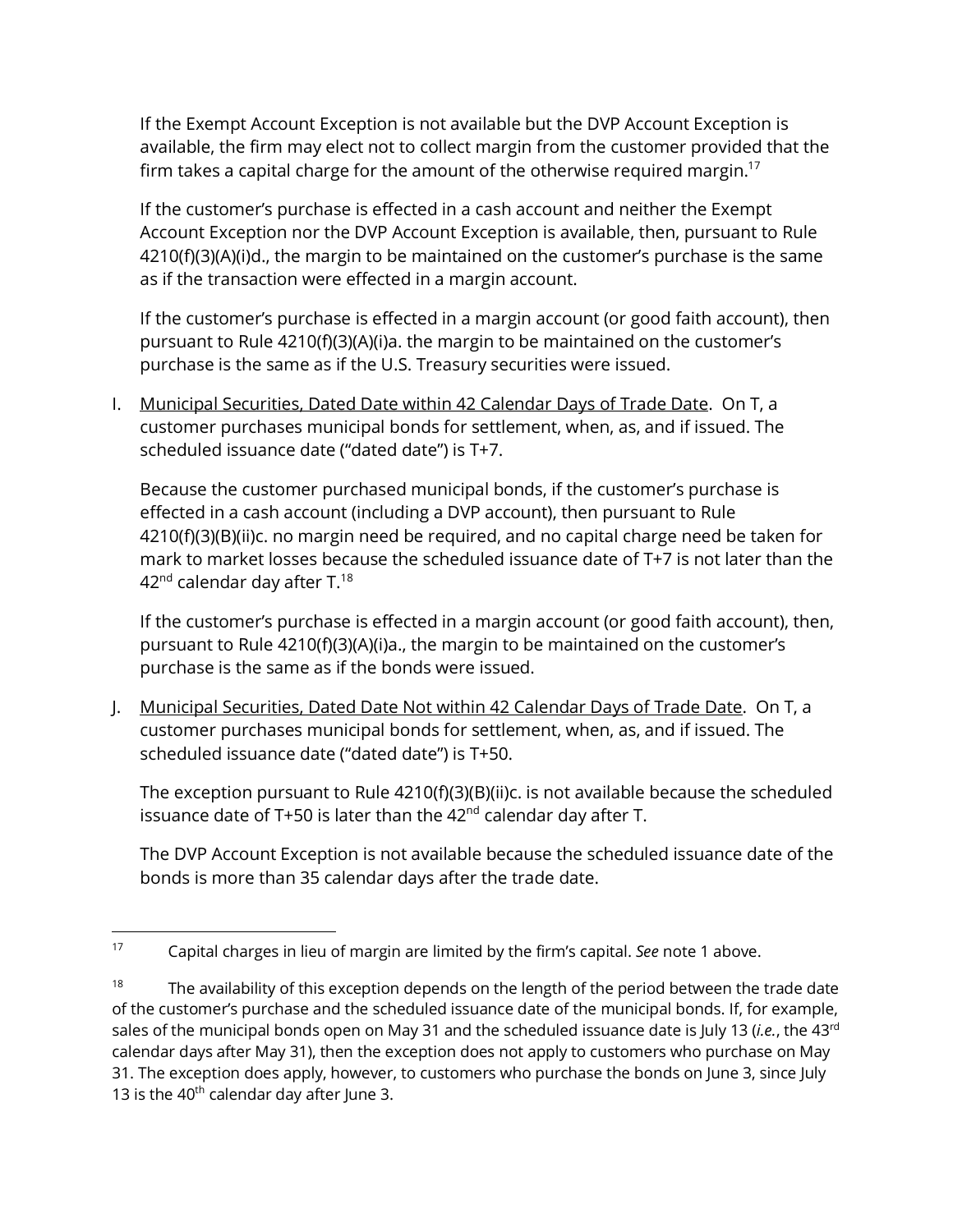If the Exempt Account Exception is not available but the DVP Account Exception is available, the firm may elect not to collect margin from the customer provided that the firm takes a capital charge for the amount of the otherwise required margin.<sup>17</sup>

If the customer's purchase is effected in a cash account and neither the Exempt Account Exception nor the DVP Account Exception is available, then, pursuant to Rule 4210(f)(3)(A)(i)d., the margin to be maintained on the customer's purchase is the same as if the transaction were effected in a margin account.

If the customer's purchase is effected in a margin account (or good faith account), then pursuant to Rule 4210(f)(3)(A)(i)a. the margin to be maintained on the customer's purchase is the same as if the U.S. Treasury securities were issued.

I. Municipal Securities, Dated Date within 42 Calendar Days of Trade Date. On T, a customer purchases municipal bonds for settlement, when, as, and if issued. The scheduled issuance date ("dated date") is T+7.

Because the customer purchased municipal bonds, if the customer's purchase is effected in a cash account (including a DVP account), then pursuant to Rule 4210(f)(3)(B)(ii)c. no margin need be required, and no capital charge need be taken for mark to market losses because the scheduled issuance date of T+7 is not later than the  $42<sup>nd</sup>$  calendar day after T.<sup>18</sup>

If the customer's purchase is effected in a margin account (or good faith account), then, pursuant to Rule 4210(f)(3)(A)(i)a., the margin to be maintained on the customer's purchase is the same as if the bonds were issued.

J. Municipal Securities, Dated Date Not within 42 Calendar Days of Trade Date. On T, a customer purchases municipal bonds for settlement, when, as, and if issued. The scheduled issuance date ("dated date") is T+50.

The exception pursuant to Rule 4210(f)(3)(B)(ii)c. is not available because the scheduled issuance date of T+50 is later than the  $42<sup>nd</sup>$  calendar day after T.

The DVP Account Exception is not available because the scheduled issuance date of the bonds is more than 35 calendar days after the trade date.

<sup>17</sup> Capital charges in lieu of margin are limited by the firm's capital. *See* note [1](#page-0-0) above.

 $18$  The availability of this exception depends on the length of the period between the trade date of the customer's purchase and the scheduled issuance date of the municipal bonds. If, for example, sales of the municipal bonds open on May 31 and the scheduled issuance date is July 13 (*i.e.*, the 43rd calendar days after May 31), then the exception does not apply to customers who purchase on May 31. The exception does apply, however, to customers who purchase the bonds on June 3, since July 13 is the  $40^{th}$  calendar day after June 3.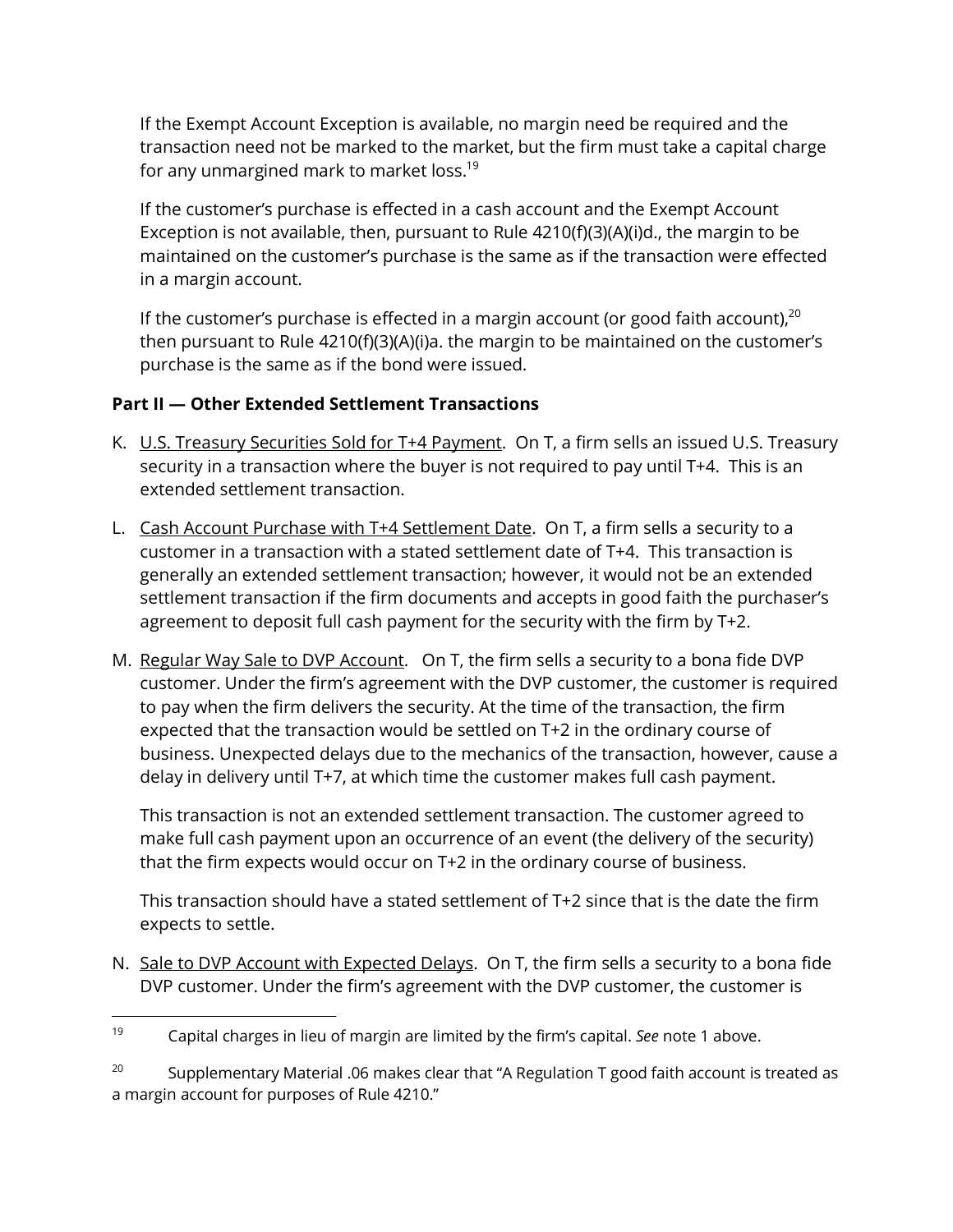If the Exempt Account Exception is available, no margin need be required and the transaction need not be marked to the market, but the firm must take a capital charge for any unmargined mark to market loss.<sup>19</sup>

If the customer's purchase is effected in a cash account and the Exempt Account Exception is not available, then, pursuant to Rule 4210(f)(3)(A)(i)d., the margin to be maintained on the customer's purchase is the same as if the transaction were effected in a margin account.

If the customer's purchase is effected in a margin account (or good faith account), $20$ then pursuant to Rule 4210(f)(3)(A)(i)a. the margin to be maintained on the customer's purchase is the same as if the bond were issued.

## **Part II — Other Extended Settlement Transactions**

- K. U.S. Treasury Securities Sold for T+4 Payment. On T, a firm sells an issued U.S. Treasury security in a transaction where the buyer is not required to pay until T+4. This is an extended settlement transaction.
- L. Cash Account Purchase with T+4 Settlement Date. On T, a firm sells a security to a customer in a transaction with a stated settlement date of T+4. This transaction is generally an extended settlement transaction; however, it would not be an extended settlement transaction if the firm documents and accepts in good faith the purchaser's agreement to deposit full cash payment for the security with the firm by T+2.
- M. Regular Way Sale to DVP Account. On T, the firm sells a security to a bona fide DVP customer. Under the firm's agreement with the DVP customer, the customer is required to pay when the firm delivers the security. At the time of the transaction, the firm expected that the transaction would be settled on T+2 in the ordinary course of business. Unexpected delays due to the mechanics of the transaction, however, cause a delay in delivery until T+7, at which time the customer makes full cash payment.

This transaction is not an extended settlement transaction. The customer agreed to make full cash payment upon an occurrence of an event (the delivery of the security) that the firm expects would occur on T+2 in the ordinary course of business.

This transaction should have a stated settlement of T+2 since that is the date the firm expects to settle.

N. Sale to DVP Account with Expected Delays. On T, the firm sells a security to a bona fide DVP customer. Under the firm's agreement with the DVP customer, the customer is

<sup>19</sup> Capital charges in lieu of margin are limited by the firm's capital. *See* note [1](#page-0-0) above.

<sup>&</sup>lt;sup>20</sup> Supplementary Material .06 makes clear that "A Regulation T good faith account is treated as a margin account for purposes of Rule 4210."